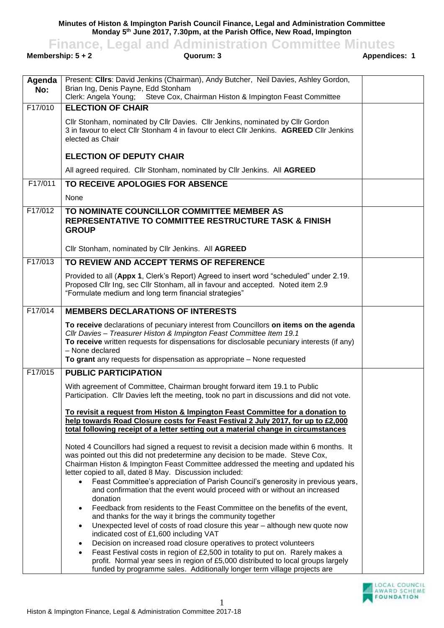**Minutes of Histon & Impington Parish Council Finance, Legal and Administration Committee Monday 5 th June 2017, 7.30pm, at the Parish Office, New Road, Impington**

**Finance, Legal and Administration Committee Minutes**<br> **Appendice Administration Committee Minutes**<br> **Appendice Appendic** 

## **Membership: 5 + 2 Cuorum: 3 Cuorum: 3 Appendices: 1 Agenda No:** Present: **Cllrs**: David Jenkins (Chairman), Andy Butcher, Neil Davies, Ashley Gordon, Brian Ing, Denis Payne, Edd Stonham<br>Clerk: Angela Young; Steve Cox, Ch Steve Cox, Chairman Histon & Impington Feast Committee F17/010 **ELECTION OF CHAIR** Cllr Stonham, nominated by Cllr Davies. Cllr Jenkins, nominated by Cllr Gordon 3 in favour to elect Cllr Stonham 4 in favour to elect Cllr Jenkins. **AGREED** Cllr Jenkins elected as Chair **ELECTION OF DEPUTY CHAIR** All agreed required. Cllr Stonham, nominated by Cllr Jenkins. All **AGREED** F17/011 **TO RECEIVE APOLOGIES FOR ABSENCE** None F17/012 **TO NOMINATE COUNCILLOR COMMITTEE MEMBER AS REPRESENTATIVE TO COMMITTEE RESTRUCTURE TASK & FINISH GROUP** Cllr Stonham, nominated by Cllr Jenkins. All **AGREED** F17/013 **TO REVIEW AND ACCEPT TERMS OF REFERENCE** Provided to all (**Appx 1**, Clerk's Report) Agreed to insert word "scheduled" under 2.19. Proposed Cllr Ing, sec Cllr Stonham, all in favour and accepted. Noted item 2.9 "Formulate medium and long term financial strategies" F17/014 **MEMBERS DECLARATIONS OF INTERESTS To receive** declarations of pecuniary interest from Councillors **on items on the agenda** *Cllr Davies – Treasurer Histon & Impington Feast Committee Item 19.1* **To receive** written requests for dispensations for disclosable pecuniary interests (if any) – None declared **To grant** any requests for dispensation as appropriate – None requested F17/015 **PUBLIC PARTICIPATION** With agreement of Committee, Chairman brought forward item 19.1 to Public Participation. Cllr Davies left the meeting, took no part in discussions and did not vote. **To revisit a request from Histon & Impington Feast Committee for a donation to help towards Road Closure costs for Feast Festival 2 July 2017, for up to £2,000 total following receipt of a letter setting out a material change in circumstances** Noted 4 Councillors had signed a request to revisit a decision made within 6 months. It was pointed out this did not predetermine any decision to be made. Steve Cox, Chairman Histon & Impington Feast Committee addressed the meeting and updated his letter copied to all, dated 8 May. Discussion included: Feast Committee's appreciation of Parish Council's generosity in previous years, and confirmation that the event would proceed with or without an increased donation Feedback from residents to the Feast Committee on the benefits of the event, and thanks for the way it brings the community together Unexpected level of costs of road closure this year – although new quote now indicated cost of £1,600 including VAT Decision on increased road closure operatives to protect volunteers Feast Festival costs in region of £2,500 in totality to put on. Rarely makes a profit. Normal year sees in region of £5,000 distributed to local groups largely funded by programme sales. Additionally longer term village projects are

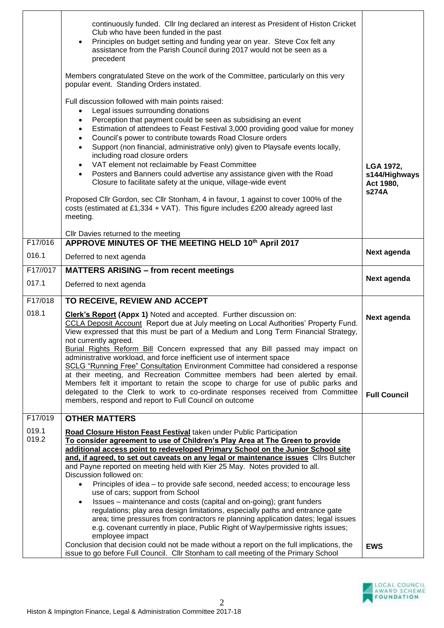|                | continuously funded. Cllr Ing declared an interest as President of Histon Cricket<br>Club who have been funded in the past<br>Principles on budget setting and funding year on year. Steve Cox felt any<br>$\bullet$<br>assistance from the Parish Council during 2017 would not be seen as a<br>precedent                                                                                                                                                                                                                                                                                                                                                                                                                                                                                                                                     |                                                  |
|----------------|------------------------------------------------------------------------------------------------------------------------------------------------------------------------------------------------------------------------------------------------------------------------------------------------------------------------------------------------------------------------------------------------------------------------------------------------------------------------------------------------------------------------------------------------------------------------------------------------------------------------------------------------------------------------------------------------------------------------------------------------------------------------------------------------------------------------------------------------|--------------------------------------------------|
|                | Members congratulated Steve on the work of the Committee, particularly on this very<br>popular event. Standing Orders instated.                                                                                                                                                                                                                                                                                                                                                                                                                                                                                                                                                                                                                                                                                                                |                                                  |
|                | Full discussion followed with main points raised:<br>Legal issues surrounding donations<br>Perception that payment could be seen as subsidising an event<br>Estimation of attendees to Feast Festival 3,000 providing good value for money<br>Council's power to contribute towards Road Closure orders<br>Support (non financial, administrative only) given to Playsafe events locally,<br>including road closure orders<br>VAT element not reclaimable by Feast Committee<br>$\bullet$<br>Posters and Banners could advertise any assistance given with the Road<br>Closure to facilitate safety at the unique, village-wide event<br>Proposed Cllr Gordon, sec Cllr Stonham, 4 in favour, 1 against to cover 100% of the<br>costs (estimated at £1,334 + VAT). This figure includes £200 already agreed last<br>meeting.                   | LGA 1972,<br>s144/Highways<br>Act 1980,<br>s274A |
| F17/016        | CIIr Davies returned to the meeting<br>APPROVE MINUTES OF THE MEETING HELD 10th April 2017                                                                                                                                                                                                                                                                                                                                                                                                                                                                                                                                                                                                                                                                                                                                                     |                                                  |
| 016.1          | Deferred to next agenda                                                                                                                                                                                                                                                                                                                                                                                                                                                                                                                                                                                                                                                                                                                                                                                                                        | Next agenda                                      |
| F17//017       | <b>MATTERS ARISING - from recent meetings</b>                                                                                                                                                                                                                                                                                                                                                                                                                                                                                                                                                                                                                                                                                                                                                                                                  |                                                  |
| 017.1          | Deferred to next agenda                                                                                                                                                                                                                                                                                                                                                                                                                                                                                                                                                                                                                                                                                                                                                                                                                        | Next agenda                                      |
| F17/018        | TO RECEIVE, REVIEW AND ACCEPT                                                                                                                                                                                                                                                                                                                                                                                                                                                                                                                                                                                                                                                                                                                                                                                                                  |                                                  |
| 018.1          | Clerk's Report (Appx 1) Noted and accepted. Further discussion on:<br>CCLA Deposit Account Report due at July meeting on Local Authorities' Property Fund.<br>View expressed that this must be part of a Medium and Long Term Financial Strategy,<br>not currently agreed.<br>Burial Rights Reform Bill Concern expressed that any Bill passed may impact on<br>administrative workload, and force inefficient use of interment space<br>SCLG "Running Free" Consultation Environment Committee had considered a response<br>at their meeting, and Recreation Committee members had been alerted by email.<br>Members felt it important to retain the scope to charge for use of public parks and<br>delegated to the Clerk to work to co-ordinate responses received from Committee<br>members, respond and report to Full Council on outcome | Next agenda<br><b>Full Council</b>               |
| F17/019        | <b>OTHER MATTERS</b>                                                                                                                                                                                                                                                                                                                                                                                                                                                                                                                                                                                                                                                                                                                                                                                                                           |                                                  |
| 019.1<br>019.2 | Road Closure Histon Feast Festival taken under Public Participation<br>To consider agreement to use of Children's Play Area at The Green to provide<br>additional access point to redeveloped Primary School on the Junior School site<br>and, if agreed, to set out caveats on any legal or maintenance issues Cllrs Butcher<br>and Payne reported on meeting held with Kier 25 May. Notes provided to all.<br>Discussion followed on:<br>Principles of idea – to provide safe second, needed access; to encourage less<br>use of cars; support from School<br>Issues – maintenance and costs (capital and on-going); grant funders<br>$\bullet$                                                                                                                                                                                              |                                                  |